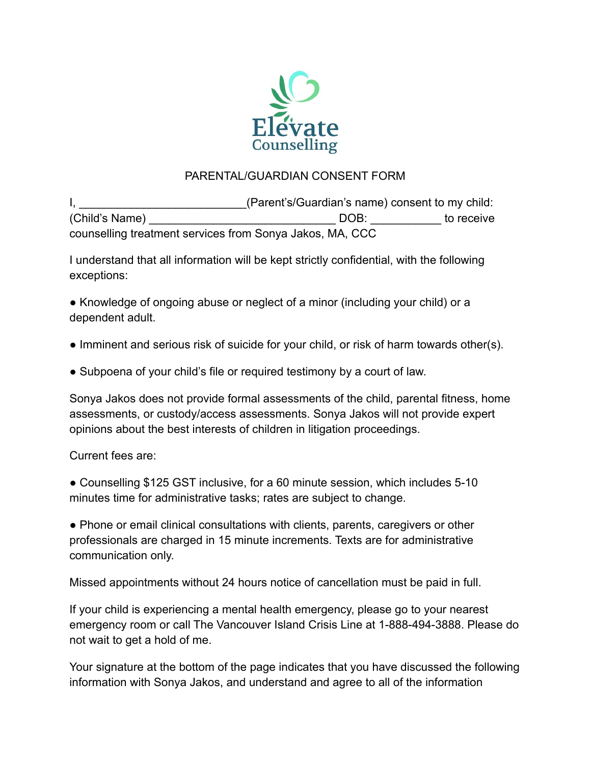

## PARENTAL/GUARDIAN CONSENT FORM

I, **I** and the same of the state of the state of the state of the state of the state of the state of the state of the state of the state of the state of the state of the state of the state of the state of the state of the (Child's Name) \_\_\_\_\_\_\_\_\_\_\_\_\_\_\_\_\_\_\_\_\_\_\_\_\_\_\_\_\_\_\_\_\_\_\_ DOB: \_\_\_\_\_\_\_\_\_\_\_\_ to receive counselling treatment services from Sonya Jakos, MA, CCC

I understand that all information will be kept strictly confidential, with the following exceptions:

• Knowledge of ongoing abuse or neglect of a minor (including your child) or a dependent adult.

- Imminent and serious risk of suicide for your child, or risk of harm towards other(s).
- Subpoena of your child's file or required testimony by a court of law.

Sonya Jakos does not provide formal assessments of the child, parental fitness, home assessments, or custody/access assessments. Sonya Jakos will not provide expert opinions about the best interests of children in litigation proceedings.

Current fees are:

● Counselling \$125 GST inclusive, for a 60 minute session, which includes 5-10 minutes time for administrative tasks; rates are subject to change.

● Phone or email clinical consultations with clients, parents, caregivers or other professionals are charged in 15 minute increments. Texts are for administrative communication only.

Missed appointments without 24 hours notice of cancellation must be paid in full.

If your child is experiencing a mental health emergency, please go to your nearest emergency room or call The Vancouver Island Crisis Line at 1-888-494-3888. Please do not wait to get a hold of me.

Your signature at the bottom of the page indicates that you have discussed the following information with Sonya Jakos, and understand and agree to all of the information